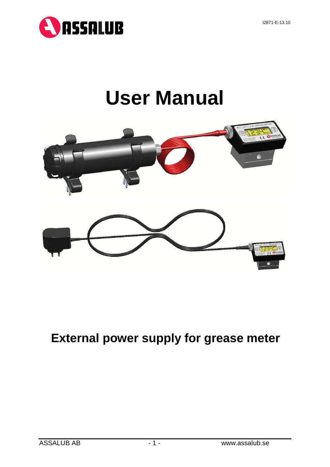

# **User Manual**



## **External power supply for grease meter**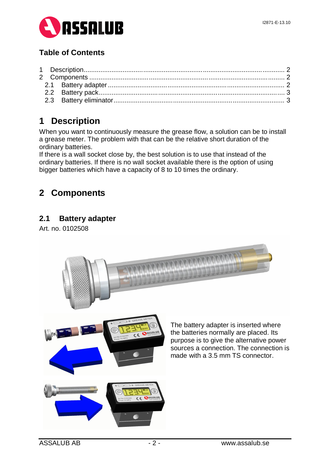

## **Table of Contents**

## **1 Description**

When you want to continuously measure the grease flow, a solution can be to install a grease meter. The problem with that can be the relative short duration of the ordinary batteries.

If there is a wall socket close by, the best solution is to use that instead of the ordinary batteries. If there is no wall socket available there is the option of using bigger batteries which have a capacity of 8 to 10 times the ordinary.

## **2 Components**

#### **2.1 Battery adapter**

Art. no. 0102508

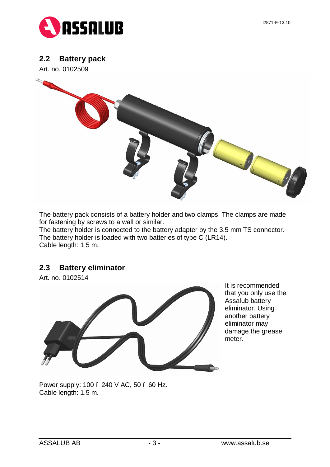

#### **2.2 Battery pack**

Art. no. 0102509



The battery pack consists of a battery holder and two clamps. The clamps are made for fastening by screws to a wall or similar.

The battery holder is connected to the battery adapter by the 3.5 mm TS connector. The battery holder is loaded with two batteries of type C (LR14). Cable length: 1.5 m.

#### **2.3 Battery eliminator**

Art. no. 0102514



It is recommended that you only use the Assalub battery eliminator. Using another battery eliminator may damage the grease meter.

Power supply: 100 . 240 V AC, 50 . 60 Hz. Cable length: 1.5 m.